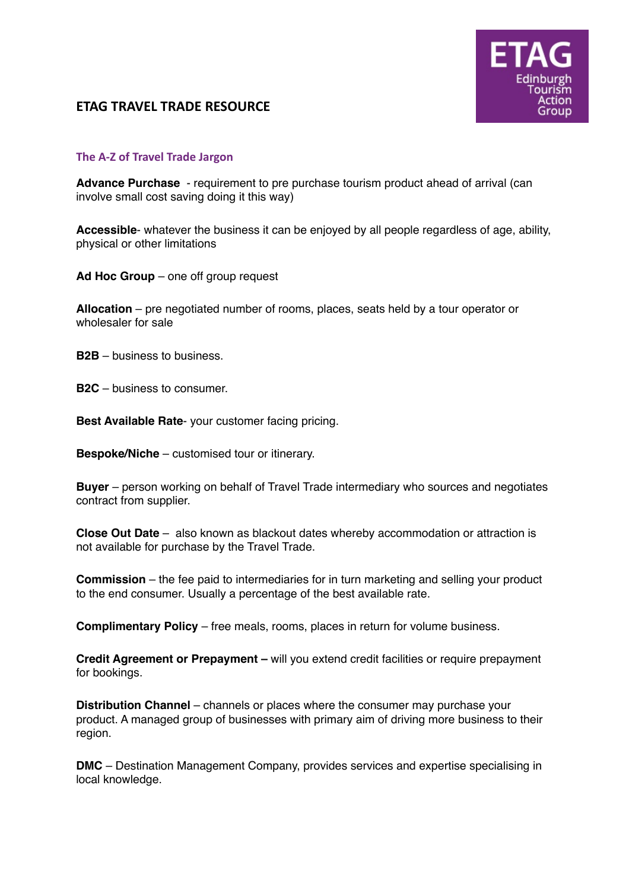## **ETAG TRAVEL TRADE RESOURCE**



## **The A-Z of Travel Trade Jargon**

**Advance Purchase** - requirement to pre purchase tourism product ahead of arrival (can involve small cost saving doing it this way)

**Accessible**- whatever the business it can be enjoyed by all people regardless of age, ability, physical or other limitations

**Ad Hoc Group** – one off group request

**Allocation** – pre negotiated number of rooms, places, seats held by a tour operator or wholesaler for sale

**B2B** – business to business.

**B2C** – business to consumer.

**Best Available Rate**- your customer facing pricing.

**Bespoke/Niche** – customised tour or itinerary.

**Buyer** – person working on behalf of Travel Trade intermediary who sources and negotiates contract from supplier.

**Close Out Date** – also known as blackout dates whereby accommodation or attraction is not available for purchase by the Travel Trade.

**Commission** – the fee paid to intermediaries for in turn marketing and selling your product to the end consumer. Usually a percentage of the best available rate.

**Complimentary Policy** – free meals, rooms, places in return for volume business.

**Credit Agreement or Prepayment –** will you extend credit facilities or require prepayment for bookings.

**Distribution Channel** – channels or places where the consumer may purchase your product. A managed group of businesses with primary aim of driving more business to their region.

**DMC** – Destination Management Company, provides services and expertise specialising in local knowledge.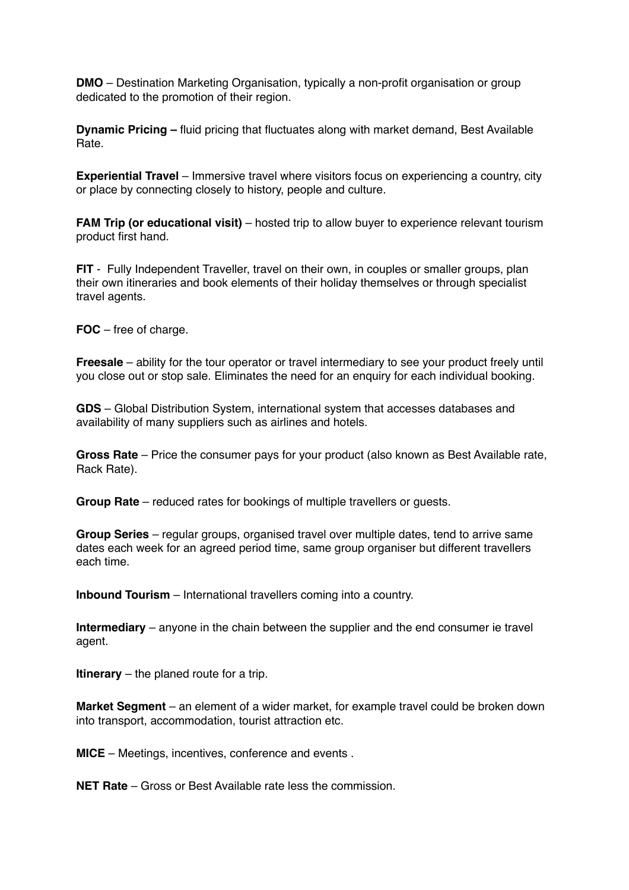**DMO** – Destination Marketing Organisation, typically a non-profit organisation or group dedicated to the promotion of their region.

**Dynamic Pricing –** fluid pricing that fluctuates along with market demand, Best Available Rate.

**Experiential Travel** – Immersive travel where visitors focus on experiencing a country, city or place by connecting closely to history, people and culture.

**FAM Trip (or educational visit)** – hosted trip to allow buyer to experience relevant tourism product first hand.

**FIT** - Fully Independent Traveller, travel on their own, in couples or smaller groups, plan their own itineraries and book elements of their holiday themselves or through specialist travel agents.

**FOC** – free of charge.

**Freesale** – ability for the tour operator or travel intermediary to see your product freely until you close out or stop sale. Eliminates the need for an enquiry for each individual booking.

**GDS** – Global Distribution System, international system that accesses databases and availability of many suppliers such as airlines and hotels.

**Gross Rate** – Price the consumer pays for your product (also known as Best Available rate, Rack Rate).

**Group Rate** – reduced rates for bookings of multiple travellers or guests.

**Group Series** – regular groups, organised travel over multiple dates, tend to arrive same dates each week for an agreed period time, same group organiser but different travellers each time.

**Inbound Tourism** – International travellers coming into a country.

**Intermediary** – anyone in the chain between the supplier and the end consumer ie travel agent.

**Itinerary** – the planed route for a trip.

**Market Segment** – an element of a wider market, for example travel could be broken down into transport, accommodation, tourist attraction etc.

**MICE** – Meetings, incentives, conference and events .

**NET Rate** – Gross or Best Available rate less the commission.